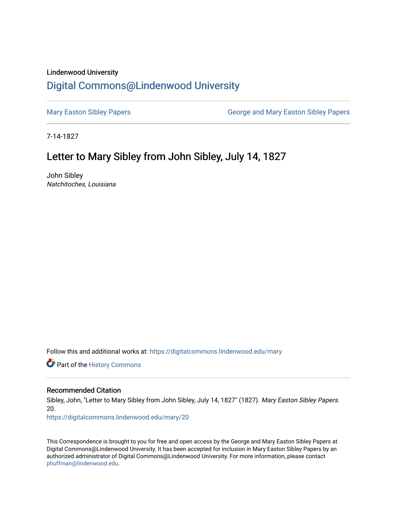## Lindenwood University

## [Digital Commons@Lindenwood University](https://digitalcommons.lindenwood.edu/)

[Mary Easton Sibley Papers](https://digitalcommons.lindenwood.edu/mary) **George and Mary Easton Sibley Papers** George and Mary Easton Sibley Papers

7-14-1827

## Letter to Mary Sibley from John Sibley, July 14, 1827

John Sibley Natchitoches, Louisiana

Follow this and additional works at: [https://digitalcommons.lindenwood.edu/mary](https://digitalcommons.lindenwood.edu/mary?utm_source=digitalcommons.lindenwood.edu%2Fmary%2F20&utm_medium=PDF&utm_campaign=PDFCoverPages) 

Part of the [History Commons](http://network.bepress.com/hgg/discipline/489?utm_source=digitalcommons.lindenwood.edu%2Fmary%2F20&utm_medium=PDF&utm_campaign=PDFCoverPages) 

## Recommended Citation

Sibley, John, "Letter to Mary Sibley from John Sibley, July 14, 1827" (1827). Mary Easton Sibley Papers. 20.

[https://digitalcommons.lindenwood.edu/mary/20](https://digitalcommons.lindenwood.edu/mary/20?utm_source=digitalcommons.lindenwood.edu%2Fmary%2F20&utm_medium=PDF&utm_campaign=PDFCoverPages)

This Correspondence is brought to you for free and open access by the George and Mary Easton Sibley Papers at Digital Commons@Lindenwood University. It has been accepted for inclusion in Mary Easton Sibley Papers by an authorized administrator of Digital Commons@Lindenwood University. For more information, please contact [phuffman@lindenwood.edu](mailto:phuffman@lindenwood.edu).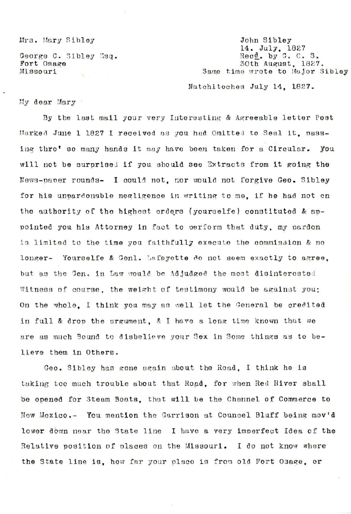Mrs. Mary Sibley

George C. Sibley Esq. Fort Osage Missouri  $\frac{1}{2}$ 

John Sibley 14. July, 1827 Recd. by G. C. S. 30th August, 1827. Same time wrote to Major Sibley

Natchitoches July 14. 1827.

My dear Mary

By the last mail your very Interesting & Agreeable letter Post Marked June 1 1827 I received as you had Omitted to Seal it, passing thro' so many hands it may have been taken for a Circular. You will not be surprised if you should see Extracts from it going the News-paper rounds- I could not, nor would not forgive Geo. Sibley for his unpardonable negligence in writing to me, if he had not on the authority of the highest orders (yourselfe) constituted & appointed you his Attorney in fact to perform that duty, my pardon is limited to the time you faithfully execute the commission & no longer- Yourselfe & Genl. Lafayette do not seem exactly to agree. but as the Gen. in Law would be Adjudged the most disinterested Witness of course, the weight of testimony would be against you: On the whole. I think you may as well let the General be credited in full & drop the argument. & I have a long time known that we are as much Bound to disbelieve your Sex in Some things as to believe them in Others.

Geo. Sibley has gone again about the Road. I think he is taking too much trouble about that Road, for when Red River shall be opened for Steam Boats, that will be the Channel of Commerce to New Mexico.- You mention the Garrison at Councel Bluff being mov'd lower down near the State line I have a very imperfect Idea of the Relative position of places on the Missouri. I do not know where the State line is, how far your place is from old Fort Osage, or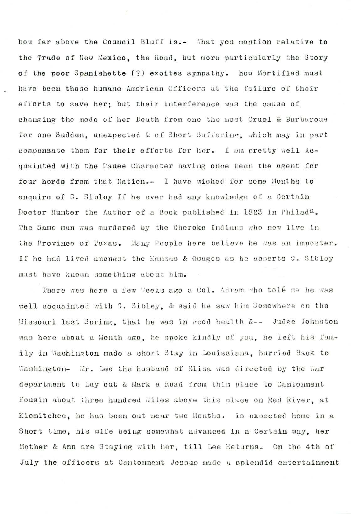how far above the Council Bluff is.- What you mention relative to the Trade of New Mexico, the Road, but more particularly the Story of the poor Spanishette (?) excites sympathy. how Mortified must have been those humane American Officers at the failure of their efforts to save her: but their interference was the cause of changing the mode of her Death from one the most Cruel & Barbarous for one Sudden, unexpected & of Short Suffering, which may in part compensate them for their efforts for her. I am pretty well Acquainted with the Pauee Character having once been the agent for four hords from that Nation.- I have wished for some Months to enquire of G. Sibley If he ever had any knowledge of a Certain Doctor Hunter the Author of a Book published in 1823 in Philada. The Same man was murdered by the Cheroke Indians who now live in the Province of Taxas. Many People here believe he was an imposter. If he had lived amongst the Kanzas & Osages as he asserts C. Sibley must have known something about him.

There was here a few Weeks ago a Col. Adram who told me he was well acquainted with G. Sibley, & said he saw him Somewhere on the Missouri last Spring, that he was in good health &-- Judge Johnston was here about a Month ago, he spoke kindly of you, he left his funily in Washington made a short Stay in Louissiana, hurried Back to Washington- Mr. Lee the husband of Eliza was directed by the War department to Lay out & Mark a Road from this place to Cantonment Fousin about three hundred Miles above this place on Red River, at Kiomitchee, he has been out mear two Months. is expected home in a Short time, his wife being somewhat advanced in a Certain way, her Mother & Ann are Staying with her, till Lee Returns. On the 4th of July the officers at Cantonment Jessup made a splendid entertainment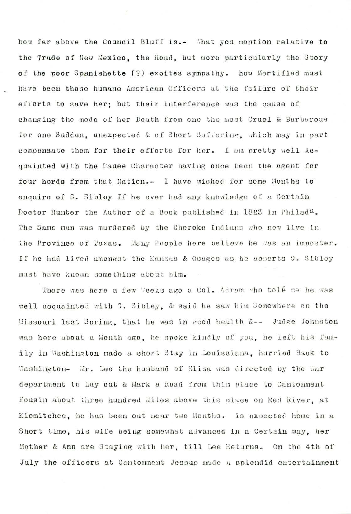how far above the Council Bluff is.- What you mention relative to the Trade of New Mexico, the Road, but more particularly the Story of the poor Spanishette (?) excites sympathy. how Mortified must have been those humane American Officers at the failure of their efforts to save her: but their interference was the cause of changing the mode of her Death from one the most Cruel & Barbarous for one Sudden, unexpected & of Short Suffering, which may in part compensate them for their efforts for her. I am pretty well Acquainted with the Pauee Character having once been the agent for four hords from that Nation.- I have wished for some Months to enquire of G. Sibley If he ever had any knowledge of a Certain Doctor Hunter the Author of a Book published in 1823 in Philada. The Same man was murdered by the Cheroke Indians who now live in the Province of Taxas. Many People here believe he was an imposter. If he had lived amongst the Kanzas & Osages as he asserts C. Sibley must have known something about him.

There was here a few Weeks ago a Col. Adram who told me he was well acquainted with G. Sibley, & said he saw him Somewhere on the Missouri last Spring, that he was in rood health &-- Judge Johnston was here about a Month ago, he spoke kindly of you, he left his family in Washington made a short Stay in Louissiana, hurried Back to Washington- Mr. Lee the husband of Eliza was directed by the War department to Lay out & Mark a Road from this place to Cantonment Fousin about three hundred Miles above this place on Red River, at Kiomitchee, he has been out near two Months. is expected home in a Short time, his wife being somewhat advanced in a Certain way, her Mother & Ann are Staying with her, till Lee Returns. On the 4th of July the officers at Cantonment Jessup made a splendid entertainment